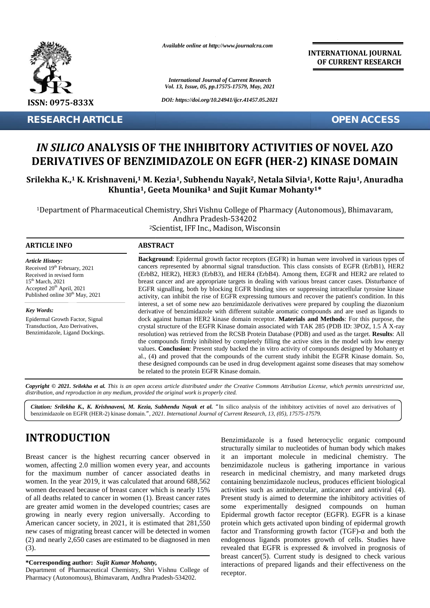

*Available online at http://www.journalcra.com*

**INTERNATIONAL JOURNAL OF CURRENT RESEARCH**

## *IN SILICO* **ANALYSIS OF THE INHIBITORY ACTIVITIES OF NOVEL AZO** *IN SILICO ANALYSIS OF THE INHIBITORY ACTIVITIES OF NOVEL AZO<br>DERIVATIVES OF BENZIMIDAZOLE ON EGFR (HER-2) KINASE DOMAIN*

### Srilekha K.,1 K. Krishnaveni,1 M. Kezia1, Subhendu Nayak<sup>2</sup>, Netala Silvia1, Kotte Raju1, Anuradha  $\bf{K}$ huntia<sup>1</sup>, Geeta Mounika<sup>1</sup> and Sujit Kumar Mohanty<sup>1\*</sup>

|                                                                                                                                                                                                                                                                                                                                                                                                                                                                                                                                                                                                                                                                                                                                                                                                          |                                                                                                                                                                                                                                                                                                                                                                                                                                                                                                                                                                                                                                                                                                                                                                                                                                                                                                                                                                                                                                                                                                                                                                                                                                                                                                                                                                                                                                                                                                                                                                                                            | <b>International Journal of Current Research</b><br>Vol. 13, Issue, 05, pp.17575-17579, May, 2021                                                                                                                                                                                                                                                                                                                                                                                                                                                                                                                                                                                                                                                                                                                                                                                                                                                              |  |  |  |
|----------------------------------------------------------------------------------------------------------------------------------------------------------------------------------------------------------------------------------------------------------------------------------------------------------------------------------------------------------------------------------------------------------------------------------------------------------------------------------------------------------------------------------------------------------------------------------------------------------------------------------------------------------------------------------------------------------------------------------------------------------------------------------------------------------|------------------------------------------------------------------------------------------------------------------------------------------------------------------------------------------------------------------------------------------------------------------------------------------------------------------------------------------------------------------------------------------------------------------------------------------------------------------------------------------------------------------------------------------------------------------------------------------------------------------------------------------------------------------------------------------------------------------------------------------------------------------------------------------------------------------------------------------------------------------------------------------------------------------------------------------------------------------------------------------------------------------------------------------------------------------------------------------------------------------------------------------------------------------------------------------------------------------------------------------------------------------------------------------------------------------------------------------------------------------------------------------------------------------------------------------------------------------------------------------------------------------------------------------------------------------------------------------------------------|----------------------------------------------------------------------------------------------------------------------------------------------------------------------------------------------------------------------------------------------------------------------------------------------------------------------------------------------------------------------------------------------------------------------------------------------------------------------------------------------------------------------------------------------------------------------------------------------------------------------------------------------------------------------------------------------------------------------------------------------------------------------------------------------------------------------------------------------------------------------------------------------------------------------------------------------------------------|--|--|--|
| ISSN: 0975-833X                                                                                                                                                                                                                                                                                                                                                                                                                                                                                                                                                                                                                                                                                                                                                                                          |                                                                                                                                                                                                                                                                                                                                                                                                                                                                                                                                                                                                                                                                                                                                                                                                                                                                                                                                                                                                                                                                                                                                                                                                                                                                                                                                                                                                                                                                                                                                                                                                            | DOI: https://doi.org/10.24941/ijcr.41457.05.2021                                                                                                                                                                                                                                                                                                                                                                                                                                                                                                                                                                                                                                                                                                                                                                                                                                                                                                               |  |  |  |
| <b>RESEARCH ARTICLE</b>                                                                                                                                                                                                                                                                                                                                                                                                                                                                                                                                                                                                                                                                                                                                                                                  |                                                                                                                                                                                                                                                                                                                                                                                                                                                                                                                                                                                                                                                                                                                                                                                                                                                                                                                                                                                                                                                                                                                                                                                                                                                                                                                                                                                                                                                                                                                                                                                                            | <b>OPEN ACCESS</b>                                                                                                                                                                                                                                                                                                                                                                                                                                                                                                                                                                                                                                                                                                                                                                                                                                                                                                                                             |  |  |  |
|                                                                                                                                                                                                                                                                                                                                                                                                                                                                                                                                                                                                                                                                                                                                                                                                          |                                                                                                                                                                                                                                                                                                                                                                                                                                                                                                                                                                                                                                                                                                                                                                                                                                                                                                                                                                                                                                                                                                                                                                                                                                                                                                                                                                                                                                                                                                                                                                                                            | IN SILICO ANALYSIS OF THE INHIBITORY ACTIVITIES OF NOVEL AZO<br><b>DERIVATIVES OF BENZIMIDAZOLE ON EGFR (HER-2) KINASE DOMAIN</b><br>Srilekha K., <sup>1</sup> K. Krishnaveni, <sup>1</sup> M. Kezia <sup>1</sup> , Subhendu Nayak <sup>2</sup> , Netala Silvia <sup>1</sup> , Kotte Raju <sup>1</sup> , Anuradha                                                                                                                                                                                                                                                                                                                                                                                                                                                                                                                                                                                                                                              |  |  |  |
|                                                                                                                                                                                                                                                                                                                                                                                                                                                                                                                                                                                                                                                                                                                                                                                                          | Andhra Pradesh-534202<br><sup>2</sup> Scientist, IFF Inc., Madison, Wisconsin                                                                                                                                                                                                                                                                                                                                                                                                                                                                                                                                                                                                                                                                                                                                                                                                                                                                                                                                                                                                                                                                                                                                                                                                                                                                                                                                                                                                                                                                                                                              | Khuntia <sup>1</sup> , Geeta Mounika <sup>1</sup> and Sujit Kumar Mohanty <sup>1*</sup><br><sup>1</sup> Department of Pharmaceutical Chemistry, Shri Vishnu College of Pharmacy (Autonomous), Bhimavaram,                                                                                                                                                                                                                                                                                                                                                                                                                                                                                                                                                                                                                                                                                                                                                      |  |  |  |
| <b>ARTICLE INFO</b>                                                                                                                                                                                                                                                                                                                                                                                                                                                                                                                                                                                                                                                                                                                                                                                      | <b>ABSTRACT</b>                                                                                                                                                                                                                                                                                                                                                                                                                                                                                                                                                                                                                                                                                                                                                                                                                                                                                                                                                                                                                                                                                                                                                                                                                                                                                                                                                                                                                                                                                                                                                                                            |                                                                                                                                                                                                                                                                                                                                                                                                                                                                                                                                                                                                                                                                                                                                                                                                                                                                                                                                                                |  |  |  |
| <b>Article History:</b><br>Received 19th February, 2021<br>Received in revised form<br>15 <sup>th</sup> March, 2021<br>Accepted 20 <sup>th</sup> April, 2021<br>Published online 30 <sup>th</sup> May, 2021<br>Key Words:<br>Epidermal Growth Factor, Signal<br>Transduction, Azo Derivatives,<br>Benzimidazole, Ligand Dockings.                                                                                                                                                                                                                                                                                                                                                                                                                                                                        | Background: Epidermal growth factor receptors (EGFR) in human were involved in various types of<br>cancers represented by abnormal signal transduction. This class consists of EGFR (ErbB1), HER2<br>(ErbB2, HER2), HER3 (ErbB3), and HER4 (ErbB4). Among them, EGFR and HER2 are related to<br>breast cancer and are appropriate targets in dealing with various breast cancer cases. Disturbance of<br>EGFR signalling, both by blocking EGFR binding sites or suppressing intracellular tyrosine kinase<br>activity, can inhibit the rise of EGFR expressing tumours and recover the patient's condition. In this<br>interest, a set of some new azo benzimidazole derivatives were prepared by coupling the diazonium<br>derivative of benzimidazole with different suitable aromatic compounds and are used as ligands to<br>dock against human HER2 kinase domain receptor. Materials and Methods: For this purpose, the<br>crystal structure of the EGFR Kinase domain associated with TAK 285 (PDB ID: 3POZ, 1.5 Å X-ray<br>resolution) was retrieved from the RCSB Protein Database (PDB) and used as the target. Results: All<br>the compounds firmly inhibited by completely filling the active sites in the model with low energy<br>values. Conclusion: Present study backed the in vitro activity of compounds designed by Mohanty et<br>al., (4) and proved that the compounds of the current study inhibit the EGFR Kinase domain. So,<br>these designed compounds can be used in drug development against some diseases that may somehow<br>be related to the protein EGFR Kinase domain. |                                                                                                                                                                                                                                                                                                                                                                                                                                                                                                                                                                                                                                                                                                                                                                                                                                                                                                                                                                |  |  |  |
| distribution, and reproduction in any medium, provided the original work is properly cited.                                                                                                                                                                                                                                                                                                                                                                                                                                                                                                                                                                                                                                                                                                              |                                                                                                                                                                                                                                                                                                                                                                                                                                                                                                                                                                                                                                                                                                                                                                                                                                                                                                                                                                                                                                                                                                                                                                                                                                                                                                                                                                                                                                                                                                                                                                                                            | Copyright © 2021. Srilekha et al. This is an open access article distributed under the Creative Commons Attribution License, which permits unrestricted use,                                                                                                                                                                                                                                                                                                                                                                                                                                                                                                                                                                                                                                                                                                                                                                                                   |  |  |  |
|                                                                                                                                                                                                                                                                                                                                                                                                                                                                                                                                                                                                                                                                                                                                                                                                          |                                                                                                                                                                                                                                                                                                                                                                                                                                                                                                                                                                                                                                                                                                                                                                                                                                                                                                                                                                                                                                                                                                                                                                                                                                                                                                                                                                                                                                                                                                                                                                                                            | Citation: Srilekha K., K. Krishnaveni, M. Kezia, Subhendu Nayak et al. "In silico analysis of the inhibitory activities of novel azo derivatives of<br>benzimidazole on EGFR (HER-2) kinase domain.", 2021. International Journal of Current Research, 13, (05), 17575-17579.                                                                                                                                                                                                                                                                                                                                                                                                                                                                                                                                                                                                                                                                                  |  |  |  |
| <b>INTRODUCTION</b><br>Breast cancer is the highest recurring cancer observed in<br>women, affecting 2.0 million women every year, and accounts<br>for the maximum number of cancer associated deaths in<br>women. In the year 2019, it was calculated that around 688,562<br>women deceased because of breast cancer which is nearly 15%<br>of all deaths related to cancer in women (1). Breast cancer rates<br>are greater amid women in the developed countries; cases are<br>growing in nearly every region universally. According to<br>American cancer society, in 2021, it is estimated that 281,550<br>new cases of migrating breast cancer will be detected in women<br>(2) and nearly 2,650 cases are estimated to be diagnosed in men<br>(3).<br>*Corresponding author: Sujit Kumar Mohanty, |                                                                                                                                                                                                                                                                                                                                                                                                                                                                                                                                                                                                                                                                                                                                                                                                                                                                                                                                                                                                                                                                                                                                                                                                                                                                                                                                                                                                                                                                                                                                                                                                            | Benzimidazole is a fused heterocyclic organic compound<br>structurally similar to nucleotides of human body which makes<br>it an important molecule in medicinal chemistry. The<br>benzimidazole nucleus is gathering importance in various<br>research in medicinal chemistry, and many marketed drugs<br>containing benzimidazole nucleus, produces efficient biological<br>activities such as antitubercular, anticancer and antiviral (4).<br>Present study is aimed to determine the inhibitory activities of<br>some experimentally designed compounds on human<br>Epidermal growth factor receptor (EGFR). EGFR is a kinase<br>protein which gets activated upon binding of epidermal growth<br>factor and Transforming growth factor (TGF)- and both the<br>endogenous ligands promotes growth of cells. Studies have<br>revealed that EGFR is expressed $\&$ involved in prognosis of<br>breast cancer(5). Current study is designed to check various |  |  |  |
| Department of Pharmaceutical Chemistry, Shri Vishnu College of<br>Pharmacy (Autonomous), Bhimavaram, Andhra Pradesh-534202.                                                                                                                                                                                                                                                                                                                                                                                                                                                                                                                                                                                                                                                                              |                                                                                                                                                                                                                                                                                                                                                                                                                                                                                                                                                                                                                                                                                                                                                                                                                                                                                                                                                                                                                                                                                                                                                                                                                                                                                                                                                                                                                                                                                                                                                                                                            | interactions of prepared ligands and their effectiveness on the<br>receptor.                                                                                                                                                                                                                                                                                                                                                                                                                                                                                                                                                                                                                                                                                                                                                                                                                                                                                   |  |  |  |

# **INTRODUCTION INTRODUCTION**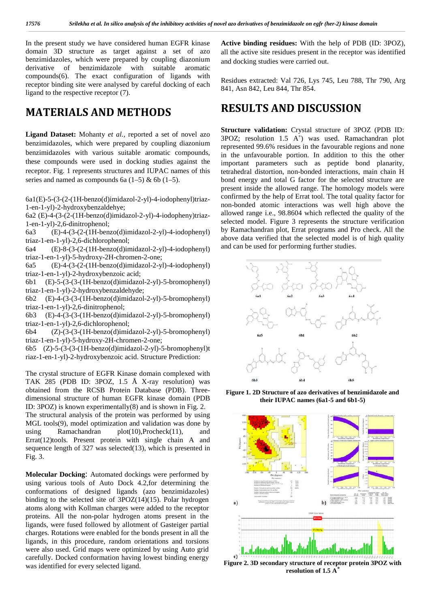In the present study we have considered human EGFR kinase domain 3D structure as target against a set of azo benzimidazoles, which were prepared by coupling diazonium derivative of benzimidazole with suitable aromatic compounds(6). The exact configuration of ligands with receptor binding site were analysed by careful docking of each ligand to the respective receptor (7).

## **MATERIALS AND METHODS**

**Ligand Dataset:** Mohanty *et al.,* reported a set of novel azo benzimidazoles, which were prepared by coupling diazonium benzimidazoles with various suitable aromatic compounds, these compounds were used in docking studies against the receptor. Fig. 1 represents structures and IUPAC names of this series and named as compounds 6a  $(1–5)$  & 6b  $(1–5)$ .

6a1(E)-5-(3-(2-(1H-benzo(d)imidazol-2-yl)-4-iodophenyl)triaz- 1-en-1-yl)-2-hydroxybenzaldehye;

6a2 (E)-4-(3-(2-(1H-benzo(d)imidazol-2-yl)-4-iodopheny)triaz- 1-en-1-yl)-2,6-dinitrophenol;

6a3 (E)-4-(3-(2-(1H-benzo(d)imidazol-2-yl)-4-iodophenyl) triaz-1-en-1-yl)-2,6-dichlorophenol;

6a4 (E)-8-(3-(2-(1H-benzo(d)imidazol-2-yl)-4-iodophenyl) triaz-1-en-1-yl)-5-hydroxy-2H-chromen-2-one;

6a5 (E)-4-(3-(2-(1H-benzo(d)imidazol-2-yl)-4-iodophenyl) triaz-1-en-1-yl)-2-hydroxybenzoic acid;

6b1 (E)-5-(3-(3-(1H-benzo(d)imidazol-2-yl)-5-bromophenyl) triaz-1-en-1-yl)-2-hydroxybenzaldehyde;

6b2 (E)-4-(3-(3-(1H-benzo(d)imidazol-2-yl)-5-bromophenyl) triaz-1-en-1-yl)-2,6-dinitrophenol;

6b3 (E)-4-(3-(3-(1H-benzo(d)imidazol-2-yl)-5-bromophenyl) triaz-1-en-1-yl)-2,6-dichlorophenol;

6b4 (Z)-(3-(3-(1H-benzo(d)imidazol-2-yl)-5-bromophenyl) triaz-1-en-1-yl)-5-hydroxy-2H-chromen-2-one;

6b5 (Z)-5-(3-(3-(1H-benzo(d)imidazol-2-yl)-5-bromophenyl)t riaz-1-en-1-yl)-2-hydroxybenzoic acid. Structure Prediction:

The crystal structure of EGFR Kinase domain complexed with TAK 285 (PDB ID: 3POZ, 1.5 Å X-ray resolution) was obtained from the RCSB Protein Database (PDB). Three dimensional structure of human EGFR kinase domain (PDB ID: 3POZ) is known experimentally(8) and is shown in Fig. 2. The structural analysis of the protein was performed by using MGL tools(9), model optimization and validation was done by using Ramachandran plot(10),Procheck(11), and Errat(12)tools. Present protein with single chain A and sequence length of 327 was selected(13), which is presented in Fig. 3.

**Molecular Docking**: Automated dockings were performed by using various tools of Auto Dock 4.2,for determining the conformations of designed ligands (azo benzimidazoles) binding to the selected site of  $3POZ(14)(15)$ . Polar hydrogen atoms along with Kollman charges were added to the receptor proteins. All the non-polar hydrogen atoms present in the ligands, were fused followed by allotment of Gasteiger partial charges. Rotations were enabled for the bonds present in all the ligands, in this procedure, random orientations and torsions were also used. Grid maps were optimized by using Auto grid carefully. Docked conformation having lowest binding energy was identified for every selected ligand.

**Active binding residues:** With the help of PDB (ID: 3POZ), all the active site residues present in the receptor was identified and docking studies were carried out.

Residues extracted: Val 726, Lys 745, Leu 788, Thr 790, Arg 841, Asn 842, Leu 844, Thr 854.

## **RESULTS AND DISCUSSION**

**Structure validation:** Crystal structure of 3POZ (PDB ID: 3POZ; resolution 1.5 A˚) was used. Ramachandran plot represented 99.6% residues in the favourable regions and none in the unfavourable portion. In addition to this the other important parameters such as peptide bond planarity, tetrahedral distortion, non-bonded interactions, main chain H bond energy and total G factor for the selected structure are present inside the allowed range. The homology models were confirmed by the help of Errat tool. The total quality factor for non-bonded atomic interactions was well high above the allowed range i.e., 98.8604 which reflected the quality of the selected model. Figure 3 represents the structure verification by Ramachandran plot, Errat programs and Pro check. All the above data verified that the selected model is of high quality and can be used for performing further studies.



**Figure 1. 2D Structure of azo derivatives of benzimidazole and their IUPAC names (6a1-5 and 6b1-5)**



**Figure 2. 3D secondary structure of receptor protein 3POZ with resolution of 1.5 A˚**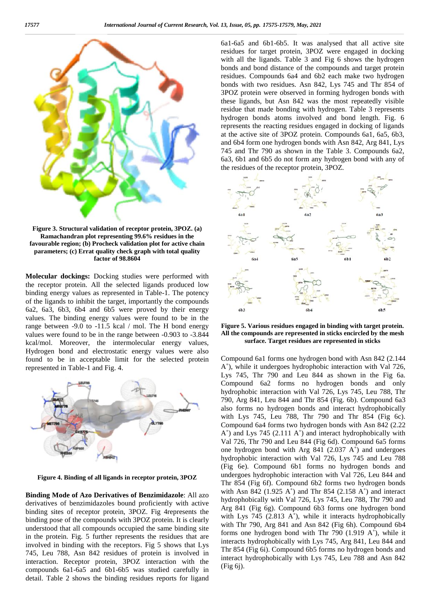

**Figure 3. Structural validation of receptor protein, 3POZ. (a) Ramachandran plot representing 99.6% residues in the favourable region; (b) Procheck validation plot for active chain parameters; (c) Errat quality check graph with total quality factor of 98.8604**

**Molecular dockings:** Docking studies were performed with the receptor protein. All the selected ligands produced low binding energy values as represented in Table-1. The potency of the ligands to inhibit the target, importantly the compounds 6a2, 6a3, 6b3, 6b4 and 6b5 were proved by their energy values. The binding energy values were found to be in the range between -9.0 to -11.5 kcal / mol. The H bond energy values were found to be in the range between -0.903 to -3.844 kcal/mol. Moreover, the intermolecular energy values, Hydrogen bond and electrostatic energy values were also found to be in acceptable limit for the selected protein represented in Table-1 and Fig. 4.



**Figure 4. Binding of all ligands in receptor protein, 3POZ**

**Binding Mode of Azo Derivatives of Benzimidazole**: All azo derivatives of benzimidazoles bound proficiently with active binding sites of receptor protein, 3POZ. Fig 4represents the binding pose of the compounds with 3POZ protein. It is clearly understood that all compounds occupied the same binding site in the protein. Fig. 5 further represents the residues that are involved in binding with the receptors. Fig 5 shows that Lys 745, Leu 788, Asn 842 residues of protein is involved in interaction. Receptor protein, 3POZ interaction with the compounds 6a1-6a5 and 6b1-6b5 was studied carefully in detail. Table 2 shows the binding residues reports for ligand 6a1-6a5 and 6b1-6b5. It was analysed that all active site residues for target protein, 3POZ were engaged in docking with all the ligands. Table 3 and Fig 6 shows the hydrogen bonds and bond distance of the compounds and target protein residues. Compounds 6a4 and 6b2 each make two hydrogen bonds with two residues. Asn 842, Lys 745 and Thr 854 of 3POZ protein were observed in forming hydrogen bonds with these ligands, but Asn 842 was the most repeatedly visible residue that made bonding with hydrogen. Table 3 represents hydrogen bonds atoms involved and bond length. Fig. 6 represents the reacting residues engaged in docking of ligands at the active site of 3POZ protein. Compounds 6a1, 6a5, 6b3, and 6b4 form one hydrogen bonds with Asn 842, Arg 841, Lys 745 and Thr 790 as shown in the Table 3. Compounds 6a2, 6a3, 6b1 and 6b5 do not form any hydrogen bond with any of the residues of the receptor protein, 3POZ.



**Figure 5. Various residues engaged in binding with target protein. All the compounds are represented in sticks encircled by the mesh surface. Target residues are represented in sticks**

Compound 6a1 forms one hydrogen bond with Asn 842 (2.144 A˚), while it undergoes hydrophobic interaction with Val 726, Lys 745, Thr 790 and Leu 844 as shown in the Fig 6a. Compound 6a2 forms no hydrogen bonds and only hydrophobic interaction with Val 726, Lys 745, Leu 788, Thr 790, Arg 841, Leu 844 and Thr 854 (Fig. 6b). Compound 6a3 also forms no hydrogen bonds and interact hydrophobically with Lys 745, Leu 788, Thr 790 and Thr 854 (Fig 6c). Compound 6a4 forms two hydrogen bonds with Asn 842 (2.22  $A<sup>°</sup>$ ) and Lys 745 (2.111  $A<sup>°</sup>$ ) and interact hydrophobically with Val 726, Thr 790 and Leu 844 (Fig 6d). Compound 6a5 forms one hydrogen bond with Arg 841 (2.037 A˚) and undergoes hydrophobic interaction with Val 726, Lys 745 and Leu 788 (Fig 6e). Compound 6b1 forms no hydrogen bonds and undergoes hydrophobic interaction with Val 726, Leu 844 and Thr 854 (Fig 6f). Compound 6b2 forms two hydrogen bonds with Asn 842 (1.925 A $^{\circ}$ ) and Thr 854 (2.158 A $^{\circ}$ ) and interact hydrophobically with Val 726, Lys 745, Leu 788, Thr 790 and Arg 841 (Fig 6g). Compound 6b3 forms one hydrogen bond with Lys 745 (2.813 A<sup>°</sup>), while it interacts hydrophobically with Thr 790, Arg 841 and Asn 842 (Fig 6h). Compound 6b4 forms one hydrogen bond with Thr 790 (1.919 A˚), while it interacts hydrophobically with Lys 745, Arg 841, Leu 844 and Thr 854 (Fig 6i). Compound 6b5 forms no hydrogen bonds and interact hydrophobically with Lys 745, Leu 788 and Asn 842 (Fig 6j).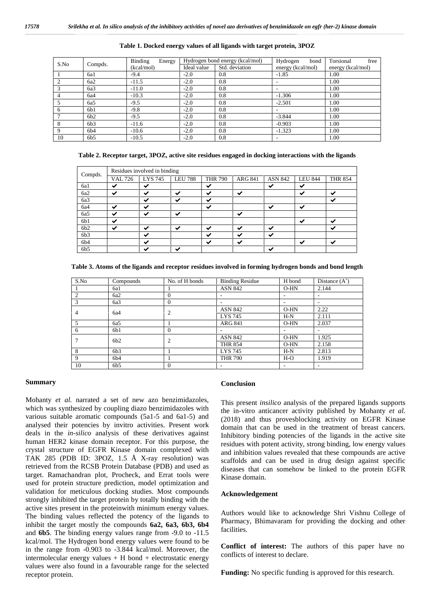| S.No<br>Compds. | <b>Binding</b><br>Energy | Hydrogen bond energy (kcal/mol) |                | Hydrogen<br>bond  | free<br>Torsional |      |
|-----------------|--------------------------|---------------------------------|----------------|-------------------|-------------------|------|
|                 | (kcal/mol)               | Ideal value                     | Std. deviation | energy (kcal/mol) | energy (kcal/mol) |      |
|                 | 6a1                      | $-9.4$                          | $-2.0$         | 0.8               | $-1.85$           | 1.00 |
|                 | 6a2                      | $-11.5$                         | $-2.0$         | 0.8               |                   | 1.00 |
|                 | 6a3                      | $-11.0$                         | $-2.0$         | 0.8               |                   | 1.00 |
|                 | 6a4                      | $-10.3$                         | $-2.0$         | 0.8               | $-1.306$          | 1.00 |
|                 | 6a5                      | $-9.5$                          | $-2.0$         | 0.8               | $-2.501$          | 1.00 |
| 6               | 6b1                      | $-9.8$                          | $-2.0$         | 0.8               |                   | 1.00 |
|                 | 6b2                      | $-9.5$                          | $-2.0$         | 0.8               | $-3.844$          | 1.00 |
| 8               | 6b3                      | $-11.6$                         | $-2.0$         | 0.8               | $-0.903$          | 1.00 |
| 9               | 6b4                      | $-10.6$                         | $-2.0$         | 0.8               | $-1.323$          | 1.00 |
| 10              | 6b5                      | $-10.5$                         | $-2.0$         | 0.8               |                   | 1.00 |

**Table 1. Docked energy values of all ligands with target protein, 3POZ**

**Table 2. Receptor target, 3POZ, active site residues engaged in docking interactions with the ligands**

| Compds.         | Residues involved in binding |                          |                |                |                |                |                |                |
|-----------------|------------------------------|--------------------------|----------------|----------------|----------------|----------------|----------------|----------------|
|                 | <b>VAL 726</b>               | <b>LYS 745</b>           | <b>LEU 788</b> | <b>THR 790</b> | <b>ARG 841</b> | <b>ASN 842</b> | <b>LEU 844</b> | <b>THR 854</b> |
| 6a1             | $\checkmark$                 | $\checkmark$             |                | ✓              |                | ✓              | $\checkmark$   |                |
| 6a2             | $\checkmark$                 | ↵                        | $\checkmark$   | $\checkmark$   | ↩              |                | $\checkmark$   | $\checkmark$   |
| 6a3             |                              | ↵                        | $\checkmark$   | ✓              |                |                |                | ✓              |
| 6a4             | $\checkmark$                 | ↵                        |                | ✓              |                | ✓              | $\checkmark$   |                |
| 6a5             | $\checkmark$                 | $\checkmark$             | ✓              |                | $\checkmark$   |                |                |                |
| 6b1             | $\checkmark$                 |                          |                |                |                |                | $\checkmark$   | $\checkmark$   |
| 6b2             | $\checkmark$                 | $\overline{\phantom{a}}$ | $\checkmark$   | ✓              | ↩              | ✓              |                | ◡              |
| 6b3             |                              | $\overline{\phantom{a}}$ |                | ✓              | ↩              | ✓              |                |                |
| 6b4             |                              | $\overline{\phantom{a}}$ |                | $\checkmark$   | ✓              |                | $\checkmark$   | $\checkmark$   |
| 6b <sub>5</sub> |                              |                          | $\checkmark$   |                |                | $\checkmark$   |                |                |

| S.No           | Compounds | No. of H bonds | <b>Binding Residue</b>   | H bond                   | Distance $(A^{\circ})$ |
|----------------|-----------|----------------|--------------------------|--------------------------|------------------------|
|                | 6a1       |                | <b>ASN 842</b>           | $O-HN$                   | 2.144                  |
| $\overline{c}$ | 6a2       | $\Omega$       | $\overline{\phantom{a}}$ | ٠                        | ۰                      |
| 3              | 6a3       | $\Omega$       | $\overline{\phantom{a}}$ | $\overline{\phantom{a}}$ | ۰                      |
| 4              | 6a4       | $\overline{2}$ | <b>ASN 842</b>           | $O-HN$                   | 2.22                   |
|                |           |                | LYS 745                  | $H-N$                    | 2.111                  |
| 5              | 6a5       |                | <b>ARG 841</b>           | $O-HN$                   | 2.037                  |
| 6              | 6b1       | $\Omega$       | $\overline{\phantom{a}}$ |                          |                        |
| 7              | 6b2       | $\overline{c}$ | <b>ASN 842</b>           | $O-HN$                   | 1.925                  |
|                |           |                | <b>THR 854</b>           | $O-HN$                   | 2.158                  |
| 8              | 6b3       |                | LYS 745                  | $H-N$                    | 2.813                  |
| 9              | 6b4       |                | <b>THR 790</b>           | $H-O$                    | 1.919                  |
| 10             | 6b5       | $\Omega$       | $\overline{\phantom{a}}$ | ۰                        |                        |

#### **Summary**

Mohanty *et al.* narrated a set of new azo benzimidazoles, which was synthesized by coupling diazo benzimidazoles with various suitable aromatic compounds (5a1-5 and 6a1-5) and analysed their potencies by invitro activities. Present work deals in the *in-silico* analysis of these derivatives against human HER2 kinase domain receptor. For this purpose, the crystal structure of EGFR Kinase domain complexed with TAK 285 (PDB ID: 3POZ, 1.5 Å X-ray resolution) was retrieved from the RCSB Protein Database (PDB) and used as target. Ramachandran plot, Procheck, and Errat tools were used for protein structure prediction, model optimization and validation for meticulous docking studies. Most compounds strongly inhibited the target protein by totally binding with the active sites present in the proteinwith minimum energy values. The binding values reflected the potency of the ligands to inhibit the target mostly the compounds **6a2, 6a3, 6b3, 6b4** and **6b5**. The binding energy values range from -9.0 to -11.5 kcal/mol. The Hydrogen bond energy values were found to be in the range from -0.903 to -3.844 kcal/mol. Moreover, the intermolecular energy values  $+$  H bond  $+$  electrostatic energy values were also found in a favourable range for the selected receptor protein.

#### **Conclusion**

This present *insilico* analysis of the prepared ligands supports the in-vitro anticancer activity published by Mohanty *et al.* (2018) and thus provesblocking activity on EGFR Kinase domain that can be used in the treatment of breast cancers. Inhibitory binding potencies of the ligands in the active site residues with potent activity, strong binding, low energy values and inhibition values revealed that these compounds are active scaffolds and can be used in drug design against specific diseases that can somehow be linked to the protein EGFR Kinase domain.

#### **Acknowledgement**

Authors would like to acknowledge Shri Vishnu College of Pharmacy, Bhimavaram for providing the docking and other facilities.

**Conflict of interest:** The authors of this paper have no conflicts of interest to declare.

**Funding:** No specific funding is approved for this research.